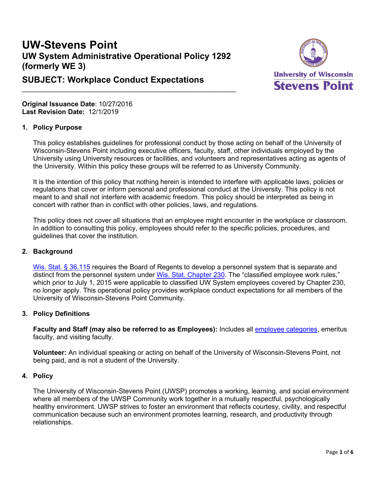# **UW-Stevens Point UW System Administrative Operational Policy 1292 (formerly WE 3)**

 $\frac{1}{2}$  ,  $\frac{1}{2}$  ,  $\frac{1}{2}$  ,  $\frac{1}{2}$  ,  $\frac{1}{2}$  ,  $\frac{1}{2}$  ,  $\frac{1}{2}$  ,  $\frac{1}{2}$  ,  $\frac{1}{2}$  ,  $\frac{1}{2}$  ,  $\frac{1}{2}$  ,  $\frac{1}{2}$  ,  $\frac{1}{2}$  ,  $\frac{1}{2}$  ,  $\frac{1}{2}$  ,  $\frac{1}{2}$  ,  $\frac{1}{2}$  ,  $\frac{1}{2}$  ,  $\frac{1$ 



## **SUBJECT: Workplace Conduct Expectations**

**Original Issuance Date**: 10/27/2016 **Last Revision Date:** 12/1/2019

#### **1. Policy Purpose**

This policy establishes guidelines for professional conduct by those acting on behalf of the University of Wisconsin-Stevens Point including executive officers, faculty, staff, other individuals employed by the University using University resources or facilities, and volunteers and representatives acting as agents of the University. Within this policy these groups will be referred to as University Community.

It is the intention of this policy that nothing herein is intended to interfere with applicable laws, policies or regulations that cover or inform personal and professional conduct at the University. This policy is not meant to and shall not interfere with academic freedom. This policy should be interpreted as being in concert with rather than in conflict with other policies, laws, and regulations.

This policy does not cover all situations that an employee might encounter in the workplace or classroom. In addition to consulting this policy, employees should refer to the specific policies, procedures, and guidelines that cover the institution.

#### **2. Background**

[Wis. Stat. § 36.115](https://docs.legis.wisconsin.gov/statutes/statutes/36/115) requires the Board of Regents to develop a personnel system that is separate and distinct from the personnel system under Wis. Stat. Chapter 230. The "classified employee work rules." which prior to July 1, 2015 were applicable to classified UW System employees covered by Chapter 230, no longer apply. This operational policy provides workplace conduct expectations for all members of the University of Wisconsin-Stevens Point Community.

## **3. Policy Definitions**

**Faculty and Staff (may also be referred to as Employees):** Includes all employee [categories,](https://www.wisconsin.edu/ohrwd/hr/emplcat/) emeritus faculty, and visiting faculty.

**Volunteer:** An individual speaking or acting on behalf of the University of Wisconsin-Stevens Point, not being paid, and is not a student of the University.

#### **4. Policy**

The University of Wisconsin-Stevens Point (UWSP) promotes a working, learning, and social environment where all members of the UWSP Community work together in a mutually respectful, psychologically healthy environment. UWSP strives to foster an environment that reflects courtesy, civility, and respectful communication because such an environment promotes learning, research, and productivity through relationships.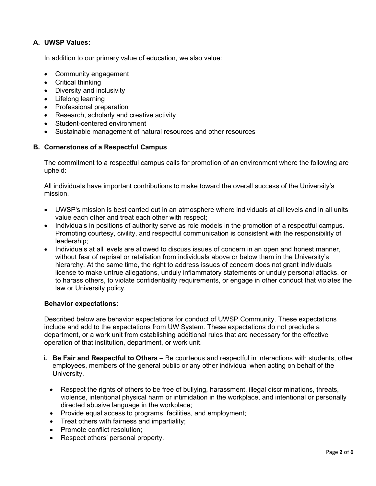## **A. UWSP Values:**

In addition to our primary value of education, we also value:

- Community engagement
- Critical thinking
- Diversity and inclusivity
- Lifelong learning
- Professional preparation
- Research, scholarly and creative activity
- Student-centered environment
- Sustainable management of natural resources and other resources

### **B. Cornerstones of a Respectful Campus**

The commitment to a respectful campus calls for promotion of an environment where the following are upheld:

All individuals have important contributions to make toward the overall success of the University's mission.

- UWSP's mission is best carried out in an atmosphere where individuals at all levels and in all units value each other and treat each other with respect;
- Individuals in positions of authority serve as role models in the promotion of a respectful campus. Promoting courtesy, civility, and respectful communication is consistent with the responsibility of leadership;
- Individuals at all levels are allowed to discuss issues of concern in an open and honest manner, without fear of reprisal or retaliation from individuals above or below them in the University's hierarchy. At the same time, the right to address issues of concern does not grant individuals license to make untrue allegations, unduly inflammatory statements or unduly personal attacks, or to harass others, to violate confidentiality requirements, or engage in other conduct that violates the law or University policy.

#### **Behavior expectations:**

Described below are behavior expectations for conduct of UWSP Community. These expectations include and add to the expectations from UW System. These expectations do not preclude a department, or a work unit from establishing additional rules that are necessary for the effective operation of that institution, department, or work unit.

- **i. Be Fair and Respectful to Others –** Be courteous and respectful in interactions with students, other employees, members of the general public or any other individual when acting on behalf of the University.
	- Respect the rights of others to be free of bullying, harassment, illegal discriminations, threats, violence, intentional physical harm or intimidation in the workplace, and intentional or personally directed abusive language in the workplace;
	- Provide equal access to programs, facilities, and employment;
	- Treat others with fairness and impartiality;
	- Promote conflict resolution:
	- Respect others' personal property.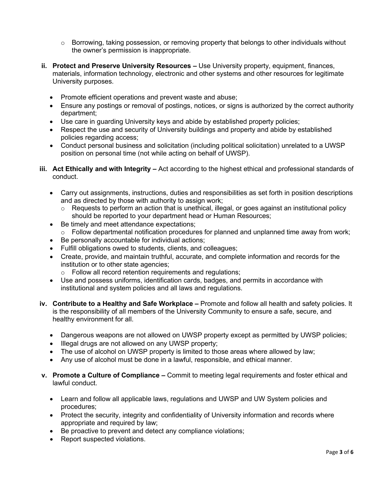- $\circ$  Borrowing, taking possession, or removing property that belongs to other individuals without the owner's permission is inappropriate.
- **ii. Protect and Preserve University Resources –** Use University property, equipment, finances, materials, information technology, electronic and other systems and other resources for legitimate University purposes.
	- Promote efficient operations and prevent waste and abuse;
	- Ensure any postings or removal of postings, notices, or signs is authorized by the correct authority department;
	- Use care in guarding University keys and abide by established property policies;
	- Respect the use and security of University buildings and property and abide by established policies regarding access;
	- Conduct personal business and solicitation (including political solicitation) unrelated to a UWSP position on personal time (not while acting on behalf of UWSP).
- **iii. Act Ethically and with Integrity –** Act according to the highest ethical and professional standards of conduct.
	- Carry out assignments, instructions, duties and responsibilities as set forth in position descriptions and as directed by those with authority to assign work;
		- $\circ$  Requests to perform an action that is unethical, illegal, or goes against an institutional policy should be reported to your department head or Human Resources;
	- Be timely and meet attendance expectations;
	- o Follow departmental notification procedures for planned and unplanned time away from work;
	- Be personally accountable for individual actions;
	- Fulfill obligations owed to students, clients, and colleagues;
	- Create, provide, and maintain truthful, accurate, and complete information and records for the institution or to other state agencies;
		- o Follow all record retention requirements and regulations;
	- Use and possess uniforms, identification cards, badges, and permits in accordance with institutional and system policies and all laws and regulations.
- **iv. Contribute to a Healthy and Safe Workplace –** Promote and follow all health and safety policies. It is the responsibility of all members of the University Community to ensure a safe, secure, and healthy environment for all.
	- Dangerous weapons are not allowed on UWSP property except as permitted by UWSP policies;
	- Illegal drugs are not allowed on any UWSP property;
	- The use of alcohol on UWSP property is limited to those areas where allowed by law;
	- Any use of alcohol must be done in a lawful, responsible, and ethical manner.
- **v. Promote a Culture of Compliance –** Commit to meeting legal requirements and foster ethical and lawful conduct.
	- Learn and follow all applicable laws, regulations and UWSP and UW System policies and procedures;
	- Protect the security, integrity and confidentiality of University information and records where appropriate and required by law;
	- Be proactive to prevent and detect any compliance violations;
	- Report suspected violations.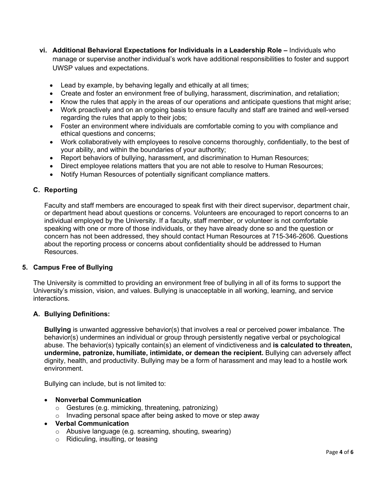- **vi. Additional Behavioral Expectations for Individuals in a Leadership Role –** Individuals who manage or supervise another individual's work have additional responsibilities to foster and support UWSP values and expectations.
	- Lead by example, by behaving legally and ethically at all times;
	- Create and foster an environment free of bullying, harassment, discrimination, and retaliation;
	- Know the rules that apply in the areas of our operations and anticipate questions that might arise;
	- Work proactively and on an ongoing basis to ensure faculty and staff are trained and well-versed regarding the rules that apply to their jobs;
	- Foster an environment where individuals are comfortable coming to you with compliance and ethical questions and concerns;
	- Work collaboratively with employees to resolve concerns thoroughly, confidentially, to the best of your ability, and within the boundaries of your authority;
	- Report behaviors of bullying, harassment, and discrimination to Human Resources;
	- Direct employee relations matters that you are not able to resolve to Human Resources;
	- Notify Human Resources of potentially significant compliance matters.

#### <span id="page-3-0"></span>**C. Reporting**

Faculty and staff members are encouraged to speak first with their direct supervisor, department chair, or department head about questions or concerns. Volunteers are encouraged to report concerns to an individual employed by the University. If a faculty, staff member, or volunteer is not comfortable speaking with one or more of those individuals, or they have already done so and the question or concern has not been addressed, they should contact Human Resources at 715-346-2606. Questions about the reporting process or concerns about confidentiality should be addressed to Human Resources.

#### **5. Campus Free of Bullying**

The University is committed to providing an environment free of bullying in all of its forms to support the University's mission, vision, and values. Bullying is unacceptable in all working, learning, and service interactions.

#### **A. Bullying Definitions:**

**Bullying** is unwanted aggressive behavior(s) that involves a real or perceived power imbalance. The behavior(s) undermines an individual or group through persistently negative verbal or psychological abuse. The behavior(s) typically contain(s) an element of vindictiveness and **is calculated to threaten, undermine, patronize, humiliate, intimidate, or demean the recipient.** Bullying can adversely affect dignity, health, and productivity. Bullying may be a form of harassment and may lead to a hostile work environment.

Bullying can include, but is not limited to:

#### • **Nonverbal Communication**

- o Gestures (e.g. mimicking, threatening, patronizing)
- o Invading personal space after being asked to move or step away

#### • **Verbal Communication**

- o Abusive language (e.g. screaming, shouting, swearing)
- o Ridiculing, insulting, or teasing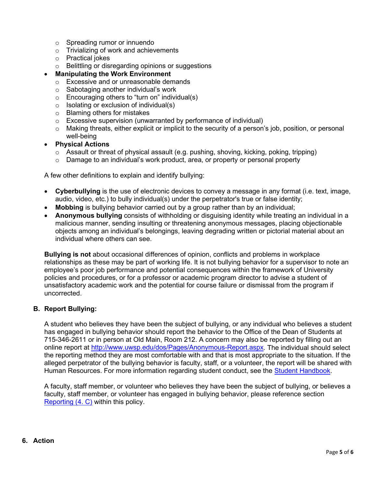- o Spreading rumor or innuendo
- o Trivializing of work and achievements
- o Practical jokes
- o Belittling or disregarding opinions or suggestions
- **Manipulating the Work Environment**
	- o Excessive and or unreasonable demands
	- o Sabotaging another individual's work
	- $\circ$  Encouraging others to "turn on" individual(s)
	- $\circ$  Isolating or exclusion of individual(s)
	- o Blaming others for mistakes
	- o Excessive supervision (unwarranted by performance of individual)
	- $\circ$  Making threats, either explicit or implicit to the security of a person's job, position, or personal well-being
- **Physical Actions**
	- $\circ$  Assault or threat of physical assault (e.g. pushing, shoving, kicking, poking, tripping)
	- $\circ$  Damage to an individual's work product, area, or property or personal property

A few other definitions to explain and identify bullying:

- **Cyberbullying** is the use of electronic devices to convey a message in any format (i.e. text, image, audio, video, etc.) to bully individual(s) under the perpetrator's true or false identity;
- **Mobbing** is bullying behavior carried out by a group rather than by an individual;
- **Anonymous bullying** consists of withholding or disguising identity while treating an individual in a malicious manner, sending insulting or threatening anonymous messages, placing objectionable objects among an individual's belongings, leaving degrading written or pictorial material about an individual where others can see.

**Bullying is not** about occasional differences of opinion, conflicts and problems in workplace relationships as these may be part of working life. It is not bullying behavior for a supervisor to note an employee's poor job performance and potential consequences within the framework of University policies and procedures, or for a professor or academic program director to advise a student of unsatisfactory academic work and the potential for course failure or dismissal from the program if uncorrected.

#### **B. Report Bullying:**

A student who believes they have been the subject of bullying, or any individual who believes a student has engaged in bullying behavior should report the behavior to the Office of the Dean of Students at 715-346-2611 or in person at Old Main, Room 212. A concern may also be reported by filling out an online report at [http://www.uwsp.edu/dos/Pages/Anonymous-Report.aspx.](http://www.uwsp.edu/dos/Pages/Anonymous-Report.aspx) The individual should select the reporting method they are most comfortable with and that is most appropriate to the situation. If the alleged perpetrator of the bullying behavior is faculty, staff, or a volunteer, the report will be shared with Human Resources. For more information regarding student conduct, see the [Student Handbook.](https://www.uwsp.edu/dos/Pages/handbook.aspx)

A faculty, staff member, or volunteer who believes they have been the subject of bullying, or believes a faculty, staff member, or volunteer has engaged in bullying behavior, please reference section [Reporting \(4. C\)](#page-3-0) within this policy.